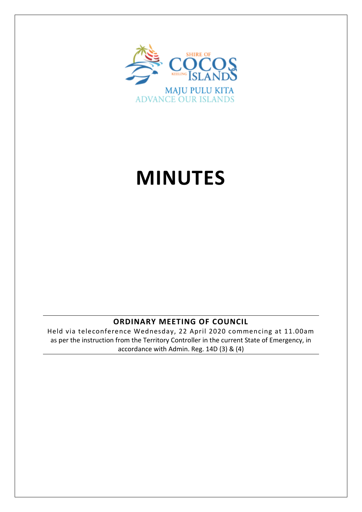

# **MINUTES**

## **ORDINARY MEETING OF COUNCIL**

Held via teleconference Wednesday, 22 April 2020 commencing at 11.00am as per the instruction from the Territory Controller in the current State of Emergency, in accordance with Admin. Reg. 14D (3) & (4)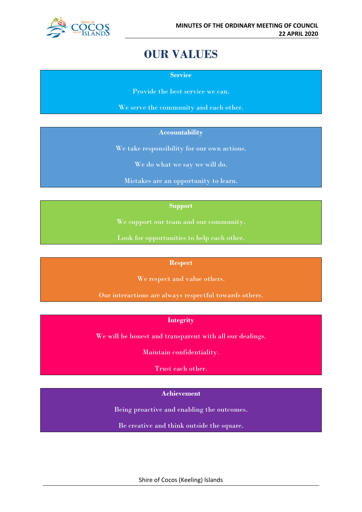

## **OUR VALUES**

**Service**

Provide the best service we can.

We serve the community and each other.

## **Accountability**

We take responsibility for our own actions.

We do what we say we will do.

Mistakes are an opportunity to learn.

## **Support**

We support our team and our community.

Look for opportunities to help each other.

#### **Respect**

We respect and value others.

Our interactions are always respectful towards others.

## **Integrity**

We will be honest and transparent with all our dealings.

Maintain confidentiality.

Trust each other.

## **Achievement**

Being proactive and enabling the outcomes.

Be creative and think outside the square.

Shire of Cocos (Keeling) Islands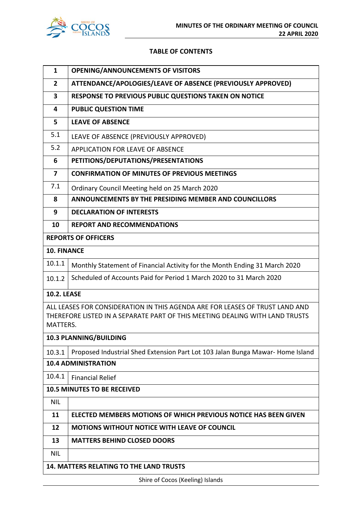

## **TABLE OF CONTENTS**

| $\mathbf{1}$            | <b>OPENING/ANNOUNCEMENTS OF VISITORS</b>                                                                                                                     |  |
|-------------------------|--------------------------------------------------------------------------------------------------------------------------------------------------------------|--|
| $\overline{2}$          | ATTENDANCE/APOLOGIES/LEAVE OF ABSENCE (PREVIOUSLY APPROVED)                                                                                                  |  |
| $\overline{\mathbf{3}}$ | RESPONSE TO PREVIOUS PUBLIC QUESTIONS TAKEN ON NOTICE                                                                                                        |  |
| 4                       | <b>PUBLIC QUESTION TIME</b>                                                                                                                                  |  |
| 5                       | <b>LEAVE OF ABSENCE</b>                                                                                                                                      |  |
| 5.1                     | LEAVE OF ABSENCE (PREVIOUSLY APPROVED)                                                                                                                       |  |
| 5.2                     | APPLICATION FOR LEAVE OF ABSENCE                                                                                                                             |  |
| 6                       | PETITIONS/DEPUTATIONS/PRESENTATIONS                                                                                                                          |  |
| $\overline{\mathbf{z}}$ | <b>CONFIRMATION OF MINUTES OF PREVIOUS MEETINGS</b>                                                                                                          |  |
| 7.1                     | Ordinary Council Meeting held on 25 March 2020                                                                                                               |  |
| 8                       | ANNOUNCEMENTS BY THE PRESIDING MEMBER AND COUNCILLORS                                                                                                        |  |
| 9                       | <b>DECLARATION OF INTERESTS</b>                                                                                                                              |  |
| 10                      | <b>REPORT AND RECOMMENDATIONS</b>                                                                                                                            |  |
|                         | <b>REPORTS OF OFFICERS</b>                                                                                                                                   |  |
| <b>10. FINANCE</b>      |                                                                                                                                                              |  |
| 10.1.1                  | Monthly Statement of Financial Activity for the Month Ending 31 March 2020                                                                                   |  |
| 10.1.2                  | Scheduled of Accounts Paid for Period 1 March 2020 to 31 March 2020                                                                                          |  |
| <b>10.2. LEASE</b>      |                                                                                                                                                              |  |
| MATTERS.                | ALL LEASES FOR CONSIDERATION IN THIS AGENDA ARE FOR LEASES OF TRUST LAND AND<br>THEREFORE LISTED IN A SEPARATE PART OF THIS MEETING DEALING WITH LAND TRUSTS |  |
|                         | 10.3 PLANNING/BUILDING                                                                                                                                       |  |
| 10.3.1                  | Proposed Industrial Shed Extension Part Lot 103 Jalan Bunga Mawar-Home Island                                                                                |  |
|                         | <b>10.4 ADMINISTRATION</b>                                                                                                                                   |  |
| 10.4.1                  | <b>Financial Relief</b>                                                                                                                                      |  |
|                         | <b>10.5 MINUTES TO BE RECEIVED</b>                                                                                                                           |  |
| <b>NIL</b>              |                                                                                                                                                              |  |
| 11                      | ELECTED MEMBERS MOTIONS OF WHICH PREVIOUS NOTICE HAS BEEN GIVEN                                                                                              |  |
| 12                      | <b>MOTIONS WITHOUT NOTICE WITH LEAVE OF COUNCIL</b>                                                                                                          |  |
| 13                      | <b>MATTERS BEHIND CLOSED DOORS</b>                                                                                                                           |  |
| <b>NIL</b>              |                                                                                                                                                              |  |
|                         | <b>14. MATTERS RELATING TO THE LAND TRUSTS</b>                                                                                                               |  |

Shire of Cocos (Keeling) Islands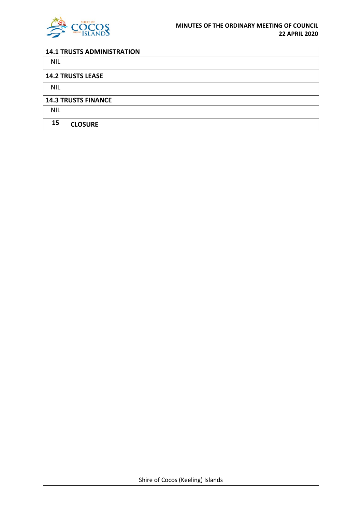

| <b>14.1 TRUSTS ADMINISTRATION</b> |                          |  |
|-----------------------------------|--------------------------|--|
| <b>NIL</b>                        |                          |  |
|                                   | <b>14.2 TRUSTS LEASE</b> |  |
| <b>NIL</b>                        |                          |  |
| <b>14.3 TRUSTS FINANCE</b>        |                          |  |
| <b>NIL</b>                        |                          |  |
| 15                                | <b>CLOSURE</b>           |  |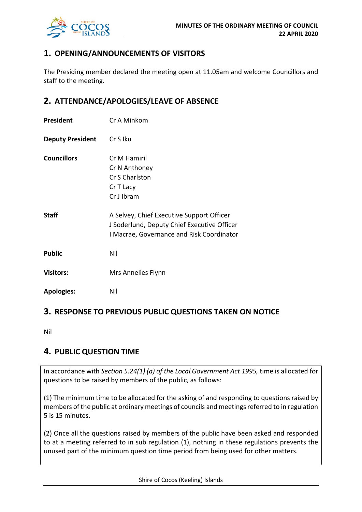

## **1. OPENING/ANNOUNCEMENTS OF VISITORS**

The Presiding member declared the meeting open at 11.05am and welcome Councillors and staff to the meeting.

## **2. ATTENDANCE/APOLOGIES/LEAVE OF ABSENCE**

| President               | Cr A Minkom                                                                                                                           |
|-------------------------|---------------------------------------------------------------------------------------------------------------------------------------|
| <b>Deputy President</b> | Cr S Iku                                                                                                                              |
| <b>Councillors</b>      | Cr M Hamiril<br>Cr N Anthoney<br>Cr S Charlston<br>Cr T Lacy<br>Cr J Ibram                                                            |
| <b>Staff</b>            | A Selvey, Chief Executive Support Officer<br>J Soderlund, Deputy Chief Executive Officer<br>I Macrae, Governance and Risk Coordinator |
| <b>Public</b>           | Nil                                                                                                                                   |
| <b>Visitors:</b>        | Mrs Annelies Flynn                                                                                                                    |
| <b>Apologies:</b>       | Nil                                                                                                                                   |

## **3. RESPONSE TO PREVIOUS PUBLIC QUESTIONS TAKEN ON NOTICE**

Nil

## **4. PUBLIC QUESTION TIME**

In accordance with *Section 5.24(1) (a) of the Local Government Act 1995,* time is allocated for questions to be raised by members of the public, as follows:

(1) The minimum time to be allocated for the asking of and responding to questions raised by members of the public at ordinary meetings of councils and meetings referred to in regulation 5 is 15 minutes.

(2) Once all the questions raised by members of the public have been asked and responded to at a meeting referred to in sub regulation (1), nothing in these regulations prevents the unused part of the minimum question time period from being used for other matters.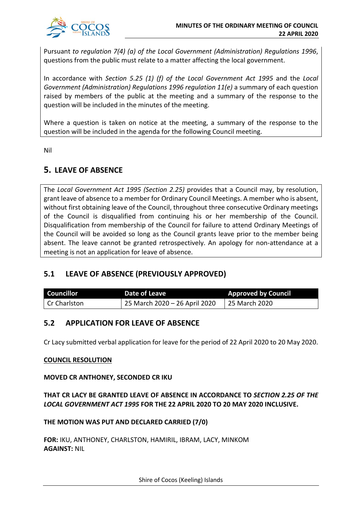

Pursuant *to regulation 7(4) (a) of the Local Government (Administration) Regulations 1996*, questions from the public must relate to a matter affecting the local government.

In accordance with *Section 5.25 (1) (f) of the Local Government Act 1995* and the *Local Government (Administration) Regulations 1996 regulation 11(e)* a summary of each question raised by members of the public at the meeting and a summary of the response to the question will be included in the minutes of the meeting.

Where a question is taken on notice at the meeting, a summary of the response to the question will be included in the agenda for the following Council meeting.

Nil

## **5. LEAVE OF ABSENCE**

The *Local Government Act 1995 (Section 2.25)* provides that a Council may, by resolution, grant leave of absence to a member for Ordinary Council Meetings. A member who is absent, without first obtaining leave of the Council, throughout three consecutive Ordinary meetings of the Council is disqualified from continuing his or her membership of the Council. Disqualification from membership of the Council for failure to attend Ordinary Meetings of the Council will be avoided so long as the Council grants leave prior to the member being absent. The leave cannot be granted retrospectively. An apology for non-attendance at a meeting is not an application for leave of absence.

## **5.1 LEAVE OF ABSENCE (PREVIOUSLY APPROVED)**

| <b>Councillor</b> | Date of Leave                 | <b>Approved by Council</b> |
|-------------------|-------------------------------|----------------------------|
| Cr Charlston      | 25 March 2020 – 26 April 2020 | 25 March 2020              |

## **5.2 APPLICATION FOR LEAVE OF ABSENCE**

Cr Lacy submitted verbal application for leave for the period of 22 April 2020 to 20 May 2020.

## **COUNCIL RESOLUTION**

## **MOVED CR ANTHONEY, SECONDED CR IKU**

## **THAT CR LACY BE GRANTED LEAVE OF ABSENCE IN ACCORDANCE TO** *SECTION 2.25 OF THE LOCAL GOVERNMENT ACT 1995* **FOR THE 22 APRIL 2020 TO 20 MAY 2020 INCLUSIVE.**

**THE MOTION WAS PUT AND DECLARED CARRIED (7/0)**

**FOR:** IKU, ANTHONEY, CHARLSTON, HAMIRIL, IBRAM, LACY, MINKOM **AGAINST:** NIL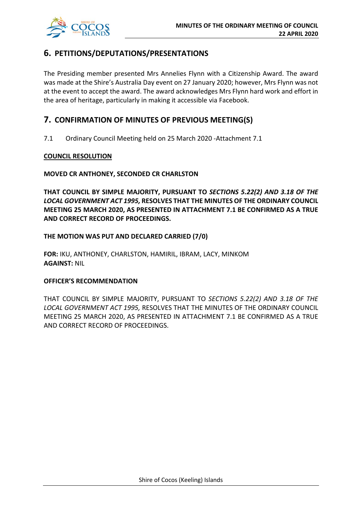

## **6. PETITIONS/DEPUTATIONS/PRESENTATIONS**

The Presiding member presented Mrs Annelies Flynn with a Citizenship Award. The award was made at the Shire's Australia Day event on 27 January 2020; however, Mrs Flynn was not at the event to accept the award. The award acknowledges Mrs Flynn hard work and effort in the area of heritage, particularly in making it accessible via Facebook.

## **7. CONFIRMATION OF MINUTES OF PREVIOUS MEETING(S)**

7.1 Ordinary Council Meeting held on 25 March 2020 -Attachment 7.1

## **COUNCIL RESOLUTION**

## **MOVED CR ANTHONEY, SECONDED CR CHARLSTON**

**THAT COUNCIL BY SIMPLE MAJORITY, PURSUANT TO** *SECTIONS 5.22(2) AND 3.18 OF THE LOCAL GOVERNMENT ACT 1995,* **RESOLVES THAT THE MINUTES OF THE ORDINARY COUNCIL MEETING 25 MARCH 2020, AS PRESENTED IN ATTACHMENT 7.1 BE CONFIRMED AS A TRUE AND CORRECT RECORD OF PROCEEDINGS.**

## **THE MOTION WAS PUT AND DECLARED CARRIED (7/0)**

**FOR:** IKU, ANTHONEY, CHARLSTON, HAMIRIL, IBRAM, LACY, MINKOM **AGAINST:** NIL

## **OFFICER'S RECOMMENDATION**

THAT COUNCIL BY SIMPLE MAJORITY, PURSUANT TO *SECTIONS 5.22(2) AND 3.18 OF THE LOCAL GOVERNMENT ACT 1995,* RESOLVES THAT THE MINUTES OF THE ORDINARY COUNCIL MEETING 25 MARCH 2020, AS PRESENTED IN ATTACHMENT 7.1 BE CONFIRMED AS A TRUE AND CORRECT RECORD OF PROCEEDINGS.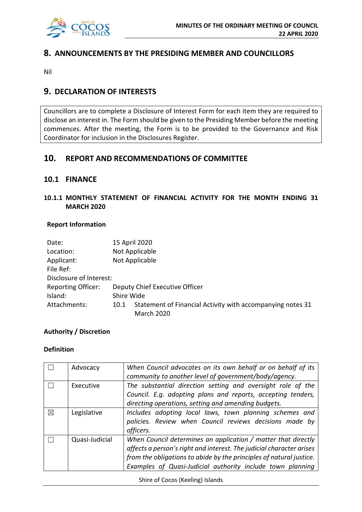

## **8. ANNOUNCEMENTS BY THE PRESIDING MEMBER AND COUNCILLORS**

Nil

## **9. DECLARATION OF INTERESTS**

Councillors are to complete a Disclosure of Interest Form for each item they are required to disclose an interest in. The Form should be given to the Presiding Member before the meeting commences. After the meeting, the Form is to be provided to the Governance and Risk Coordinator for inclusion in the Disclosures Register.

## **10. REPORT AND RECOMMENDATIONS OF COMMITTEE**

## **10.1 FINANCE**

## **10.1.1 MONTHLY STATEMENT OF FINANCIAL ACTIVITY FOR THE MONTH ENDING 31 MARCH 2020**

## **Report Information**

| Date:                     |            | 15 April 2020                                              |
|---------------------------|------------|------------------------------------------------------------|
| Location:                 |            | Not Applicable                                             |
| Applicant:                |            | Not Applicable                                             |
| File Ref:                 |            |                                                            |
| Disclosure of Interest:   |            |                                                            |
| <b>Reporting Officer:</b> |            | Deputy Chief Executive Officer                             |
| Island:                   | Shire Wide |                                                            |
| Attachments:              | 10.1       | Statement of Financial Activity with accompanying notes 31 |
|                           |            | <b>March 2020</b>                                          |

## **Authority / Discretion**

## **Definition**

|   | Advocacy       | When Council advocates on its own behalf or on behalf of its<br>community to another level of government/body/agency.                                                                                                                                                      |
|---|----------------|----------------------------------------------------------------------------------------------------------------------------------------------------------------------------------------------------------------------------------------------------------------------------|
|   | Executive      | The substantial direction setting and oversight role of the<br>Council. E.g. adopting plans and reports, accepting tenders,<br>directing operations, setting and amending budgets.                                                                                         |
| ⊠ | Legislative    | Includes adopting local laws, town planning schemes and<br>policies. Review when Council reviews decisions made by<br>officers.                                                                                                                                            |
|   | Quasi-Judicial | When Council determines an application / matter that directly<br>affects a person's right and interest. The judicial character arises<br>from the obligations to abide by the principles of natural justice.<br>Examples of Quasi-Judicial authority include town planning |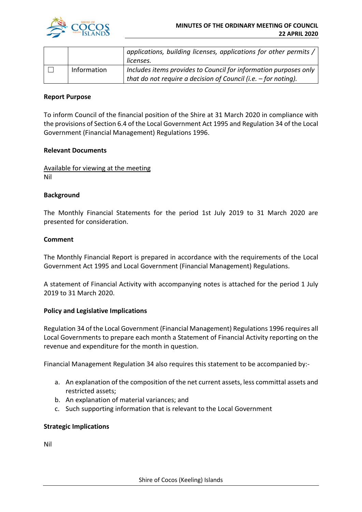

|  |             | applications, building licenses, applications for other permits / |
|--|-------------|-------------------------------------------------------------------|
|  |             | licenses.                                                         |
|  | Information | Includes items provides to Council for information purposes only  |
|  |             | that do not require a decision of Council (i.e. $-$ for noting).  |

## **Report Purpose**

To inform Council of the financial position of the Shire at 31 March 2020 in compliance with the provisions of Section 6.4 of the Local Government Act 1995 and Regulation 34 of the Local Government (Financial Management) Regulations 1996.

## **Relevant Documents**

Available for viewing at the meeting Nil

## **Background**

The Monthly Financial Statements for the period 1st July 2019 to 31 March 2020 are presented for consideration.

## **Comment**

The Monthly Financial Report is prepared in accordance with the requirements of the Local Government Act 1995 and Local Government (Financial Management) Regulations.

A statement of Financial Activity with accompanying notes is attached for the period 1 July 2019 to 31 March 2020.

#### **Policy and Legislative Implications**

Regulation 34 of the Local Government (Financial Management) Regulations 1996 requires all Local Governments to prepare each month a Statement of Financial Activity reporting on the revenue and expenditure for the month in question.

Financial Management Regulation 34 also requires this statement to be accompanied by:-

- a. An explanation of the composition of the net current assets, less committal assets and restricted assets;
- b. An explanation of material variances; and
- c. Such supporting information that is relevant to the Local Government

## **Strategic Implications**

Nil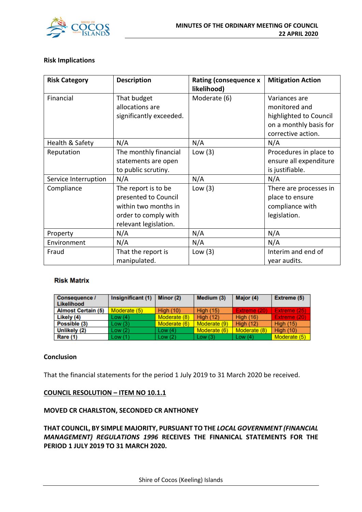

## **Risk Implications**

| <b>Risk Category</b> | <b>Description</b>                                                                                                   | <b>Rating (consequence x</b><br>likelihood) | <b>Mitigation Action</b>                                                                                 |
|----------------------|----------------------------------------------------------------------------------------------------------------------|---------------------------------------------|----------------------------------------------------------------------------------------------------------|
| Financial            | That budget<br>allocations are<br>significantly exceeded.                                                            | Moderate (6)                                | Variances are<br>monitored and<br>highlighted to Council<br>on a monthly basis for<br>corrective action. |
| Health & Safety      | N/A                                                                                                                  | N/A                                         | N/A                                                                                                      |
| Reputation           | The monthly financial<br>statements are open<br>to public scrutiny.                                                  | Low $(3)$                                   | Procedures in place to<br>ensure all expenditure<br>is justifiable.                                      |
| Service Interruption | N/A                                                                                                                  | N/A                                         | N/A                                                                                                      |
| Compliance           | The report is to be<br>presented to Council<br>within two months in<br>order to comply with<br>relevant legislation. | Low $(3)$                                   | There are processes in<br>place to ensure<br>compliance with<br>legislation.                             |
| Property             | N/A                                                                                                                  | N/A                                         | N/A                                                                                                      |
| Environment          | N/A                                                                                                                  | N/A                                         | N/A                                                                                                      |
| Fraud                | That the report is<br>manipulated.                                                                                   | Low $(3)$                                   | Interim and end of<br>year audits.                                                                       |

#### **Risk Matrix**

| <b>Consequence /</b><br>Likelihood | Insignificant (1) | Minor (2)        | Medium (3)       | Major (4)        | Extreme (5)         |
|------------------------------------|-------------------|------------------|------------------|------------------|---------------------|
| <b>Almost Certain (5)</b>          | Moderate (5)      | <b>High (10)</b> | <b>High (15)</b> | Extreme (20)     | Extreme (25)        |
| Likely (4)                         | Low(4)            | Moderate (8)     | <b>High (12)</b> | <b>High (16)</b> | <b>Extreme (20)</b> |
| Possible (3)                       | Low(3)            | Moderate (6)     | Moderate (9)     | High $(12)$      | <b>High (15)</b>    |
| Unlikely (2)                       | Low(2)            | Low $(4)$        | Moderate (6)     | Moderate (8)     | <b>High (10)</b>    |
| Rare (1)                           | Low(1)            | Low(2)           | Low $(3)$        | Low $(4)$        | Moderate (5)        |

## **Conclusion**

That the financial statements for the period 1 July 2019 to 31 March 2020 be received.

## **COUNCIL RESOLUTION – ITEM NO 10.1.1**

## **MOVED CR CHARLSTON, SECONDED CR ANTHONEY**

**THAT COUNCIL, BY SIMPLE MAJORITY, PURSUANT TO THE** *LOCAL GOVERNMENT (FINANCIAL MANAGEMENT) REGULATIONS 1996* **RECEIVES THE FINANICAL STATEMENTS FOR THE PERIOD 1 JULY 2019 TO 31 MARCH 2020.**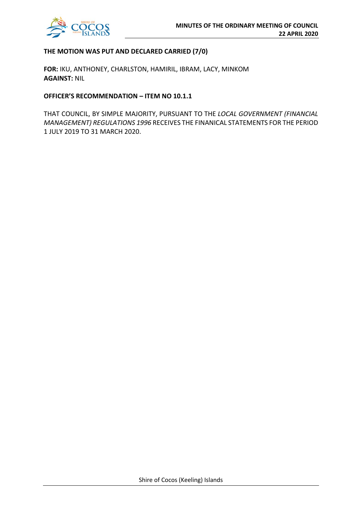

## **THE MOTION WAS PUT AND DECLARED CARRIED (7/0)**

**FOR:** IKU, ANTHONEY, CHARLSTON, HAMIRIL, IBRAM, LACY, MINKOM **AGAINST:** NIL

#### **OFFICER'S RECOMMENDATION – ITEM NO 10.1.1**

THAT COUNCIL, BY SIMPLE MAJORITY, PURSUANT TO THE *LOCAL GOVERNMENT (FINANCIAL MANAGEMENT) REGULATIONS 1996* RECEIVES THE FINANICAL STATEMENTS FOR THE PERIOD 1 JULY 2019 TO 31 MARCH 2020.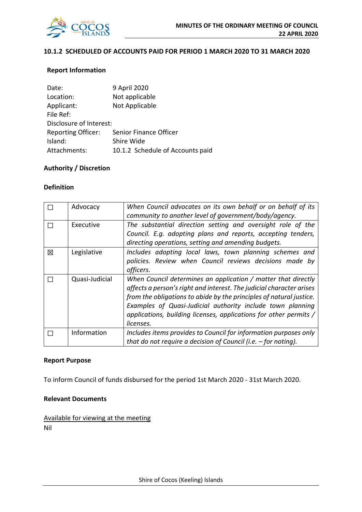

## **10.1.2 SCHEDULED OF ACCOUNTS PAID FOR PERIOD 1 MARCH 2020 TO 31 MARCH 2020**

## **Report Information**

| Date:                     | 9 April 2020                     |
|---------------------------|----------------------------------|
| Location:                 | Not applicable                   |
| Applicant:                | Not Applicable                   |
| File Ref:                 |                                  |
| Disclosure of Interest:   |                                  |
| <b>Reporting Officer:</b> | Senior Finance Officer           |
| Island:                   | Shire Wide                       |
| Attachments:              | 10.1.2 Schedule of Accounts paid |

## **Authority / Discretion**

## **Definition**

|   | Advocacy       | When Council advocates on its own behalf or on behalf of its         |
|---|----------------|----------------------------------------------------------------------|
|   |                | community to another level of government/body/agency.                |
|   | Executive      | The substantial direction setting and oversight role of the          |
|   |                | Council. E.g. adopting plans and reports, accepting tenders,         |
|   |                | directing operations, setting and amending budgets.                  |
| 図 | Legislative    | Includes adopting local laws, town planning schemes and              |
|   |                | policies. Review when Council reviews decisions made by              |
|   |                | officers.                                                            |
|   | Quasi-Judicial | When Council determines an application / matter that directly        |
|   |                | affects a person's right and interest. The judicial character arises |
|   |                | from the obligations to abide by the principles of natural justice.  |
|   |                | Examples of Quasi-Judicial authority include town planning           |
|   |                | applications, building licenses, applications for other permits /    |
|   |                | licenses.                                                            |
|   | Information    | Includes items provides to Council for information purposes only     |
|   |                | that do not require a decision of Council (i.e. $-$ for noting).     |

#### **Report Purpose**

To inform Council of funds disbursed for the period 1st March 2020 - 31st March 2020.

## **Relevant Documents**

Available for viewing at the meeting Nil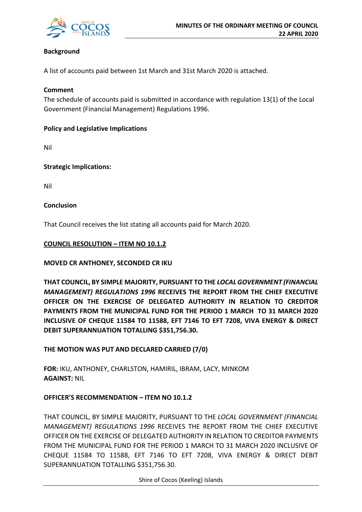

## **Background**

A list of accounts paid between 1st March and 31st March 2020 is attached.

## **Comment**

The schedule of accounts paid is submitted in accordance with regulation 13(1) of the Local Government (Financial Management) Regulations 1996.

## **Policy and Legislative Implications**

Nil

**Strategic Implications:**

Nil

## **Conclusion**

That Council receives the list stating all accounts paid for March 2020.

## **COUNCIL RESOLUTION – ITEM NO 10.1.2**

## **MOVED CR ANTHONEY, SECONDED CR IKU**

**THAT COUNCIL, BY SIMPLE MAJORITY, PURSUANT TO THE** *LOCAL GOVERNMENT (FINANCIAL MANAGEMENT) REGULATIONS 1996* **RECEIVES THE REPORT FROM THE CHIEF EXECUTIVE OFFICER ON THE EXERCISE OF DELEGATED AUTHORITY IN RELATION TO CREDITOR PAYMENTS FROM THE MUNICIPAL FUND FOR THE PERIOD 1 MARCH TO 31 MARCH 2020 INCLUSIVE OF CHEQUE 11584 TO 11588, EFT 7146 TO EFT 7208, VIVA ENERGY & DIRECT DEBIT SUPERANNUATION TOTALLING \$351,756.30.**

## **THE MOTION WAS PUT AND DECLARED CARRIED (7/0)**

**FOR:** IKU, ANTHONEY, CHARLSTON, HAMIRIL, IBRAM, LACY, MINKOM **AGAINST:** NIL

## **OFFICER'S RECOMMENDATION – ITEM NO 10.1.2**

THAT COUNCIL, BY SIMPLE MAJORITY, PURSUANT TO THE *LOCAL GOVERNMENT (FINANCIAL MANAGEMENT) REGULATIONS 1996* RECEIVES THE REPORT FROM THE CHIEF EXECUTIVE OFFICER ON THE EXERCISE OF DELEGATED AUTHORITY IN RELATION TO CREDITOR PAYMENTS FROM THE MUNICIPAL FUND FOR THE PERIOD 1 MARCH TO 31 MARCH 2020 INCLUSIVE OF CHEQUE 11584 TO 11588, EFT 7146 TO EFT 7208, VIVA ENERGY & DIRECT DEBIT SUPERANNUATION TOTALLING \$351,756.30.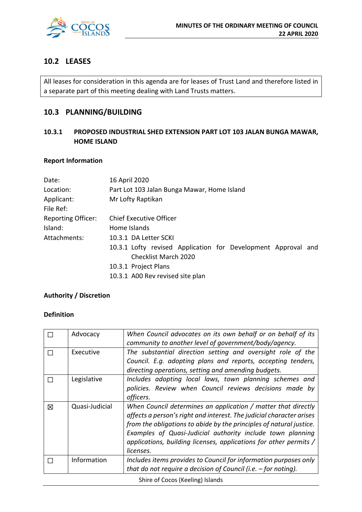

## **10.2 LEASES**

All leases for consideration in this agenda are for leases of Trust Land and therefore listed in a separate part of this meeting dealing with Land Trusts matters.

## **10.3 PLANNING/BUILDING**

## **10.3.1 PROPOSED INDUSTRIAL SHED EXTENSION PART LOT 103 JALAN BUNGA MAWAR, HOME ISLAND**

## **Report Information**

| Date:                     | 16 April 2020                                                 |  |  |
|---------------------------|---------------------------------------------------------------|--|--|
| Location:                 | Part Lot 103 Jalan Bunga Mawar, Home Island                   |  |  |
| Applicant:<br>File Ref:   | Mr Lofty Raptikan                                             |  |  |
| <b>Reporting Officer:</b> | <b>Chief Executive Officer</b>                                |  |  |
| Island:                   | Home Islands                                                  |  |  |
| Attachments:              | 10.3.1 DA Letter SCKI                                         |  |  |
|                           | 10.3.1 Lofty revised Application for Development Approval and |  |  |
|                           | Checklist March 2020                                          |  |  |
|                           | 10.3.1 Project Plans                                          |  |  |
|                           | 10.3.1 A00 Rev revised site plan                              |  |  |

## **Authority / Discretion**

## **Definition**

|   | Advocacy       | When Council advocates on its own behalf or on behalf of its<br>community to another level of government/body/agency.                                                                                                                                                                                                                                        |
|---|----------------|--------------------------------------------------------------------------------------------------------------------------------------------------------------------------------------------------------------------------------------------------------------------------------------------------------------------------------------------------------------|
|   | Executive      | The substantial direction setting and oversight role of the<br>Council. E.g. adopting plans and reports, accepting tenders,<br>directing operations, setting and amending budgets.                                                                                                                                                                           |
|   | Legislative    | Includes adopting local laws, town planning schemes and<br>policies. Review when Council reviews decisions made by<br>officers.                                                                                                                                                                                                                              |
| 区 | Quasi-Judicial | When Council determines an application / matter that directly<br>affects a person's right and interest. The judicial character arises<br>from the obligations to abide by the principles of natural justice.<br>Examples of Quasi-Judicial authority include town planning<br>applications, building licenses, applications for other permits /<br>licenses. |
|   | Information    | Includes items provides to Council for information purposes only<br>that do not require a decision of Council (i.e. $-$ for noting).                                                                                                                                                                                                                         |

Shire of Cocos (Keeling) Islands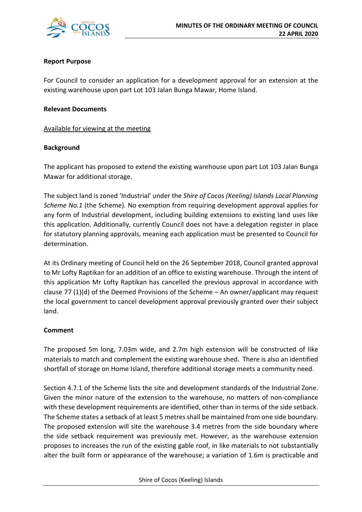

## **Report Purpose**

For Council to consider an application for a development approval for an extension at the existing warehouse upon part Lot 103 Jalan Bunga Mawar, Home Island.

## **Relevant Documents**

Available for viewing at the meeting

## **Background**

The applicant has proposed to extend the existing warehouse upon part Lot 103 Jalan Bunga Mawar for additional storage.

The subject land is zoned 'Industrial' under the *Shire of Cocos (Keeling) Islands Local Planning Scheme No.1* (the Scheme)*.* No exemption from requiring development approval applies for any form of Industrial development, including building extensions to existing land uses like this application. Additionally, currently Council does not have a delegation register in place for statutory planning approvals, meaning each application must be presented to Council for determination.

At its Ordinary meeting of Council held on the 26 September 2018, Council granted approval to Mr Lofty Raptikan for an addition of an office to existing warehouse. Through the intent of this application Mr Lofty Raptikan has cancelled the previous approval in accordance with clause 77 (1)(d) of the Deemed Provisions of the Scheme – An owner/applicant may request the local government to cancel development approval previously granted over their subject land.

## **Comment**

The proposed 5m long, 7.03m wide, and 2.7m high extension will be constructed of like materials to match and complement the existing warehouse shed. There is also an identified shortfall of storage on Home Island, therefore additional storage meets a community need.

Section 4.7.1 of the Scheme lists the site and development standards of the Industrial Zone. Given the minor nature of the extension to the warehouse, no matters of non-compliance with these development requirements are identified, other than in terms of the side setback. The Scheme states a setback of at least 5 metres shall be maintained from one side boundary. The proposed extension will site the warehouse 3.4 metres from the side boundary where the side setback requirement was previously met. However, as the warehouse extension proposes to increases the run of the existing gable roof, in like materials to not substantially alter the built form or appearance of the warehouse; a variation of 1.6m is practicable and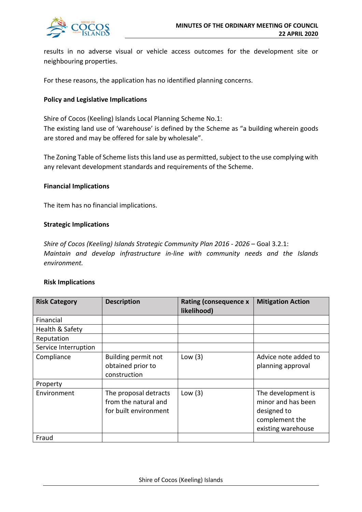

results in no adverse visual or vehicle access outcomes for the development site or neighbouring properties.

For these reasons, the application has no identified planning concerns.

## **Policy and Legislative Implications**

Shire of Cocos (Keeling) Islands Local Planning Scheme No.1: The existing land use of 'warehouse' is defined by the Scheme as "a building wherein goods are stored and may be offered for sale by wholesale".

The Zoning Table of Scheme lists this land use as permitted, subject to the use complying with any relevant development standards and requirements of the Scheme.

## **Financial Implications**

The item has no financial implications.

## **Strategic Implications**

*Shire of Cocos (Keeling) Islands Strategic Community Plan 2016 - 2026* – Goal 3.2.1: *Maintain and develop infrastructure in-line with community needs and the Islands environment.*

#### **Risk Implications**

| <b>Risk Category</b> | <b>Description</b>                                                     | <b>Rating (consequence x</b><br>likelihood) | <b>Mitigation Action</b>                                                                        |
|----------------------|------------------------------------------------------------------------|---------------------------------------------|-------------------------------------------------------------------------------------------------|
| Financial            |                                                                        |                                             |                                                                                                 |
| Health & Safety      |                                                                        |                                             |                                                                                                 |
| Reputation           |                                                                        |                                             |                                                                                                 |
| Service Interruption |                                                                        |                                             |                                                                                                 |
| Compliance           | Building permit not<br>obtained prior to<br>construction               | Low $(3)$                                   | Advice note added to<br>planning approval                                                       |
| Property             |                                                                        |                                             |                                                                                                 |
| Environment          | The proposal detracts<br>from the natural and<br>for built environment | Low $(3)$                                   | The development is<br>minor and has been<br>designed to<br>complement the<br>existing warehouse |
| Fraud                |                                                                        |                                             |                                                                                                 |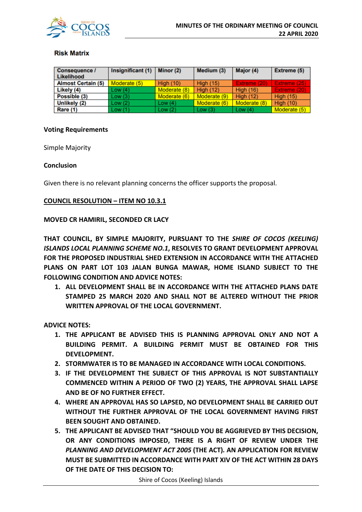

## **Risk Matrix**

| <b>Consequence /</b><br><b>Likelihood</b> | Insignificant (1) | Minor (2)        | Medium (3)       | Major (4)        | Extreme (5)      |
|-------------------------------------------|-------------------|------------------|------------------|------------------|------------------|
| <b>Almost Certain (5)</b>                 | Moderate (5)      | <b>High (10)</b> | <b>High (15)</b> | Extreme (20)     | Extreme (25)     |
| Likely (4)                                | Low(4)            | Moderate (8)     | <b>High (12)</b> | <b>High (16)</b> | Extreme (20)     |
| Possible (3)                              | Low(3)            | Moderate (6)     | Moderate (9)     | High $(12)$      | <b>High (15)</b> |
| Unlikely (2)                              | Low(2)            | Low $(4)$        | Moderate (6)     | Moderate (8)     | <b>High (10)</b> |
| Rare (1)                                  | Low(1)            | Low $(2)$        | Low(3)           | Low $(4)$        | Moderate (5)     |

#### **Voting Requirements**

Simple Majority

#### **Conclusion**

Given there is no relevant planning concerns the officer supports the proposal.

#### **COUNCIL RESOLUTION – ITEM NO 10.3.1**

#### **MOVED CR HAMIRIL, SECONDED CR LACY**

**THAT COUNCIL, BY SIMPLE MAJORITY, PURSUANT TO THE** *SHIRE OF COCOS (KEELING) ISLANDS LOCAL PLANNING SCHEME NO.1***, RESOLVES TO GRANT DEVELOPMENT APPROVAL FOR THE PROPOSED INDUSTRIAL SHED EXTENSION IN ACCORDANCE WITH THE ATTACHED PLANS ON PART LOT 103 JALAN BUNGA MAWAR, HOME ISLAND SUBJECT TO THE FOLLOWING CONDITION AND ADVICE NOTES:** 

**1. ALL DEVELOPMENT SHALL BE IN ACCORDANCE WITH THE ATTACHED PLANS DATE STAMPED 25 MARCH 2020 AND SHALL NOT BE ALTERED WITHOUT THE PRIOR WRITTEN APPROVAL OF THE LOCAL GOVERNMENT.** 

#### **ADVICE NOTES:**

- **1. THE APPLICANT BE ADVISED THIS IS PLANNING APPROVAL ONLY AND NOT A BUILDING PERMIT. A BUILDING PERMIT MUST BE OBTAINED FOR THIS DEVELOPMENT.**
- **2. STORMWATER IS TO BE MANAGED IN ACCORDANCE WITH LOCAL CONDITIONS.**
- **3. IF THE DEVELOPMENT THE SUBJECT OF THIS APPROVAL IS NOT SUBSTANTIALLY COMMENCED WITHIN A PERIOD OF TWO (2) YEARS, THE APPROVAL SHALL LAPSE AND BE OF NO FURTHER EFFECT.**
- **4. WHERE AN APPROVAL HAS SO LAPSED, NO DEVELOPMENT SHALL BE CARRIED OUT WITHOUT THE FURTHER APPROVAL OF THE LOCAL GOVERNMENT HAVING FIRST BEEN SOUGHT AND OBTAINED.**
- **5. THE APPLICANT BE ADVISED THAT "SHOULD YOU BE AGGRIEVED BY THIS DECISION, OR ANY CONDITIONS IMPOSED, THERE IS A RIGHT OF REVIEW UNDER THE**  *PLANNING AND DEVELOPMENT ACT 2005* **(THE ACT)***.* **AN APPLICATION FOR REVIEW MUST BE SUBMITTED IN ACCORDANCE WITH PART XIV OF THE ACT WITHIN 28 DAYS OF THE DATE OF THIS DECISION TO:**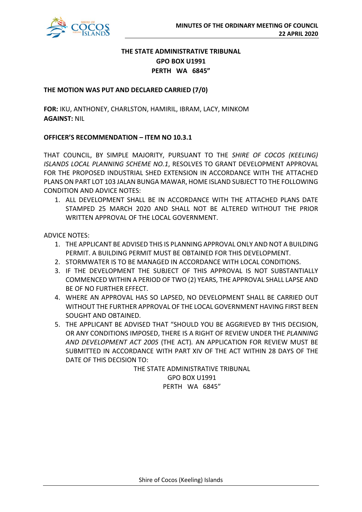

## **THE STATE ADMINISTRATIVE TRIBUNAL GPO BOX U1991 PERTH WA 6845"**

## **THE MOTION WAS PUT AND DECLARED CARRIED (7/0)**

**FOR:** IKU, ANTHONEY, CHARLSTON, HAMIRIL, IBRAM, LACY, MINKOM **AGAINST:** NIL

## **OFFICER'S RECOMMENDATION – ITEM NO 10.3.1**

THAT COUNCIL, BY SIMPLE MAJORITY, PURSUANT TO THE *SHIRE OF COCOS (KEELING) ISLANDS LOCAL PLANNING SCHEME NO.1*, RESOLVES TO GRANT DEVELOPMENT APPROVAL FOR THE PROPOSED INDUSTRIAL SHED EXTENSION IN ACCORDANCE WITH THE ATTACHED PLANS ON PART LOT 103 JALAN BUNGA MAWAR, HOME ISLAND SUBJECT TO THE FOLLOWING CONDITION AND ADVICE NOTES:

1. ALL DEVELOPMENT SHALL BE IN ACCORDANCE WITH THE ATTACHED PLANS DATE STAMPED 25 MARCH 2020 AND SHALL NOT BE ALTERED WITHOUT THE PRIOR WRITTEN APPROVAL OF THE LOCAL GOVERNMENT.

ADVICE NOTES:

- 1. THE APPLICANT BE ADVISED THIS IS PLANNING APPROVAL ONLY AND NOT A BUILDING PERMIT. A BUILDING PERMIT MUST BE OBTAINED FOR THIS DEVELOPMENT.
- 2. STORMWATER IS TO BE MANAGED IN ACCORDANCE WITH LOCAL CONDITIONS.
- 3. IF THE DEVELOPMENT THE SUBJECT OF THIS APPROVAL IS NOT SUBSTANTIALLY COMMENCED WITHIN A PERIOD OF TWO (2) YEARS, THE APPROVAL SHALL LAPSE AND BE OF NO FURTHER EFFECT.
- 4. WHERE AN APPROVAL HAS SO LAPSED, NO DEVELOPMENT SHALL BE CARRIED OUT WITHOUT THE FURTHER APPROVAL OF THE LOCAL GOVERNMENT HAVING FIRST BEEN SOUGHT AND OBTAINED.
- 5. THE APPLICANT BE ADVISED THAT "SHOULD YOU BE AGGRIEVED BY THIS DECISION, OR ANY CONDITIONS IMPOSED, THERE IS A RIGHT OF REVIEW UNDER THE *PLANNING AND DEVELOPMENT ACT 2005* (THE ACT)*.* AN APPLICATION FOR REVIEW MUST BE SUBMITTED IN ACCORDANCE WITH PART XIV OF THE ACT WITHIN 28 DAYS OF THE DATE OF THIS DECISION TO:

THE STATE ADMINISTRATIVE TRIBUNAL GPO BOX U1991 PERTH WA 6845"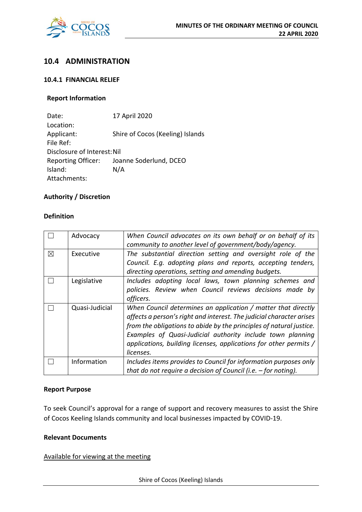

## **10.4 ADMINISTRATION**

## **10.4.1 FINANCIAL RELIEF**

## **Report Information**

Date: 17 April 2020 Location: Applicant: Shire of Cocos (Keeling) Islands File Ref: Disclosure of Interest:Nil Reporting Officer: Joanne Soderlund, DCEO Island: N/A Attachments:

## **Authority / Discretion**

## **Definition**

|   | Advocacy       | When Council advocates on its own behalf or on behalf of its<br>community to another level of government/body/agency. |  |  |  |
|---|----------------|-----------------------------------------------------------------------------------------------------------------------|--|--|--|
|   |                |                                                                                                                       |  |  |  |
| ⊠ | Executive      | The substantial direction setting and oversight role of the                                                           |  |  |  |
|   |                | Council. E.g. adopting plans and reports, accepting tenders,                                                          |  |  |  |
|   |                | directing operations, setting and amending budgets.                                                                   |  |  |  |
|   | Legislative    | Includes adopting local laws, town planning schemes and                                                               |  |  |  |
|   |                | policies. Review when Council reviews decisions made by                                                               |  |  |  |
|   |                | officers.                                                                                                             |  |  |  |
|   | Quasi-Judicial | When Council determines an application / matter that directly                                                         |  |  |  |
|   |                | affects a person's right and interest. The judicial character arises                                                  |  |  |  |
|   |                | from the obligations to abide by the principles of natural justice.                                                   |  |  |  |
|   |                | Examples of Quasi-Judicial authority include town planning                                                            |  |  |  |
|   |                | applications, building licenses, applications for other permits /                                                     |  |  |  |
|   |                | licenses.                                                                                                             |  |  |  |
|   | Information    | Includes items provides to Council for information purposes only                                                      |  |  |  |
|   |                | that do not require a decision of Council (i.e. $-$ for noting).                                                      |  |  |  |

#### **Report Purpose**

To seek Council's approval for a range of support and recovery measures to assist the Shire of Cocos Keeling Islands community and local businesses impacted by COVID-19.

## **Relevant Documents**

Available for viewing at the meeting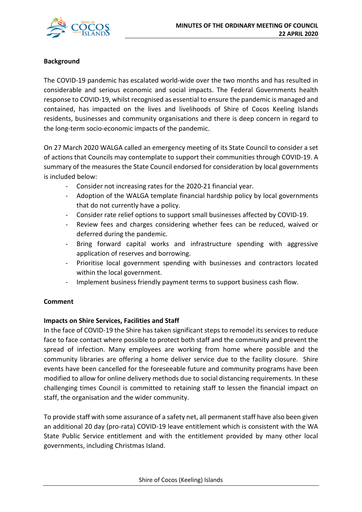

## **Background**

The COVID-19 pandemic has escalated world-wide over the two months and has resulted in considerable and serious economic and social impacts. The Federal Governments health response to COVID-19, whilst recognised as essential to ensure the pandemic is managed and contained, has impacted on the lives and livelihoods of Shire of Cocos Keeling Islands residents, businesses and community organisations and there is deep concern in regard to the long-term socio-economic impacts of the pandemic.

On 27 March 2020 WALGA called an emergency meeting of its State Council to consider a set of actions that Councils may contemplate to support their communities through COVID-19. A summary of the measures the State Council endorsed for consideration by local governments is included below:

- Consider not increasing rates for the 2020-21 financial year.
- Adoption of the WALGA template financial hardship policy by local governments that do not currently have a policy.
- Consider rate relief options to support small businesses affected by COVID-19.
- Review fees and charges considering whether fees can be reduced, waived or deferred during the pandemic.
- Bring forward capital works and infrastructure spending with aggressive application of reserves and borrowing.
- Prioritise local government spending with businesses and contractors located within the local government.
- Implement business friendly payment terms to support business cash flow.

## **Comment**

## **Impacts on Shire Services, Facilities and Staff**

In the face of COVID-19 the Shire has taken significant steps to remodel its services to reduce face to face contact where possible to protect both staff and the community and prevent the spread of infection. Many employees are working from home where possible and the community libraries are offering a home deliver service due to the facility closure. Shire events have been cancelled for the foreseeable future and community programs have been modified to allow for online delivery methods due to social distancing requirements. In these challenging times Council is committed to retaining staff to lessen the financial impact on staff, the organisation and the wider community.

To provide staff with some assurance of a safety net, all permanent staff have also been given an additional 20 day (pro-rata) COVID-19 leave entitlement which is consistent with the WA State Public Service entitlement and with the entitlement provided by many other local governments, including Christmas Island.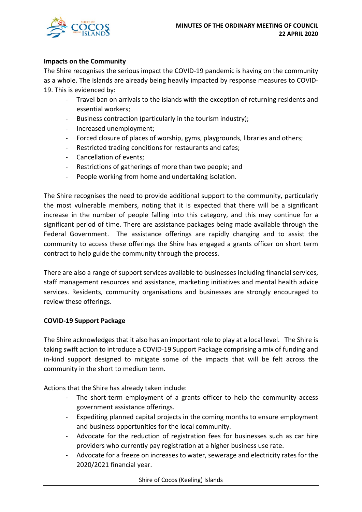

## **Impacts on the Community**

The Shire recognises the serious impact the COVID-19 pandemic is having on the community as a whole. The islands are already being heavily impacted by response measures to COVID-19. This is evidenced by:

- Travel ban on arrivals to the islands with the exception of returning residents and essential workers;
- Business contraction (particularly in the tourism industry);
- Increased unemployment;
- Forced closure of places of worship, gyms, playgrounds, libraries and others;
- Restricted trading conditions for restaurants and cafes;
- Cancellation of events:
- Restrictions of gatherings of more than two people; and
- People working from home and undertaking isolation.

The Shire recognises the need to provide additional support to the community, particularly the most vulnerable members, noting that it is expected that there will be a significant increase in the number of people falling into this category, and this may continue for a significant period of time. There are assistance packages being made available through the Federal Government. The assistance offerings are rapidly changing and to assist the community to access these offerings the Shire has engaged a grants officer on short term contract to help guide the community through the process.

There are also a range of support services available to businesses including financial services, staff management resources and assistance, marketing initiatives and mental health advice services. Residents, community organisations and businesses are strongly encouraged to review these offerings.

## **COVID-19 Support Package**

The Shire acknowledges that it also has an important role to play at a local level. The Shire is taking swift action to introduce a COVID-19 Support Package comprising a mix of funding and in-kind support designed to mitigate some of the impacts that will be felt across the community in the short to medium term.

Actions that the Shire has already taken include:

- The short-term employment of a grants officer to help the community access government assistance offerings.
- Expediting planned capital projects in the coming months to ensure employment and business opportunities for the local community.
- Advocate for the reduction of registration fees for businesses such as car hire providers who currently pay registration at a higher business use rate.
- Advocate for a freeze on increases to water, sewerage and electricity rates for the 2020/2021 financial year.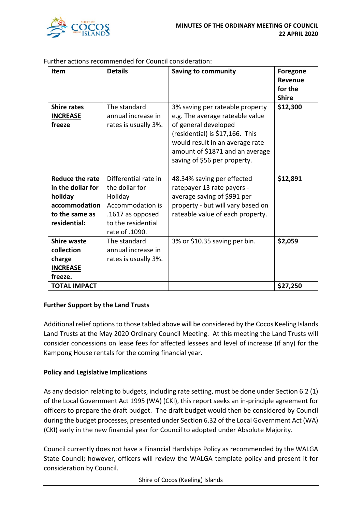

| Item                                                                                               | <b>Details</b>                                                                                                                    | <b>Saving to community</b>                                                                                                                                                                                                          | <b>Foregone</b><br>Revenue<br>for the<br><b>Shire</b> |
|----------------------------------------------------------------------------------------------------|-----------------------------------------------------------------------------------------------------------------------------------|-------------------------------------------------------------------------------------------------------------------------------------------------------------------------------------------------------------------------------------|-------------------------------------------------------|
| <b>Shire rates</b><br><b>INCREASE</b><br>freeze                                                    | The standard<br>annual increase in<br>rates is usually 3%.                                                                        | 3% saving per rateable property<br>e.g. The average rateable value<br>of general developed<br>(residential) is \$17,166. This<br>would result in an average rate<br>amount of \$1871 and an average<br>saving of \$56 per property. | \$12,300                                              |
| Reduce the rate<br>in the dollar for<br>holiday<br>accommodation<br>to the same as<br>residential: | Differential rate in<br>the dollar for<br>Holiday<br>Accommodation is<br>.1617 as opposed<br>to the residential<br>rate of .1090. | 48.34% saving per effected<br>ratepayer 13 rate payers -<br>average saving of \$991 per<br>property - but will vary based on<br>rateable value of each property.                                                                    | \$12,891                                              |
| <b>Shire waste</b><br>collection<br>charge<br><b>INCREASE</b><br>freeze.                           | The standard<br>annual increase in<br>rates is usually 3%.                                                                        | 3% or \$10.35 saving per bin.                                                                                                                                                                                                       | \$2,059                                               |
| <b>TOTAL IMPACT</b>                                                                                |                                                                                                                                   |                                                                                                                                                                                                                                     | \$27,250                                              |

Further actions recommended for Council consideration:

## **Further Support by the Land Trusts**

Additional relief options to those tabled above will be considered by the Cocos Keeling Islands Land Trusts at the May 2020 Ordinary Council Meeting. At this meeting the Land Trusts will consider concessions on lease fees for affected lessees and level of increase (if any) for the Kampong House rentals for the coming financial year.

## **Policy and Legislative Implications**

As any decision relating to budgets, including rate setting, must be done under Section 6.2 (1) of the Local Government Act 1995 (WA) (CKI), this report seeks an in-principle agreement for officers to prepare the draft budget. The draft budget would then be considered by Council during the budget processes, presented under Section 6.32 of the Local Government Act (WA) (CKI) early in the new financial year for Council to adopted under Absolute Majority.

Council currently does not have a Financial Hardships Policy as recommended by the WALGA State Council; however, officers will review the WALGA template policy and present it for consideration by Council.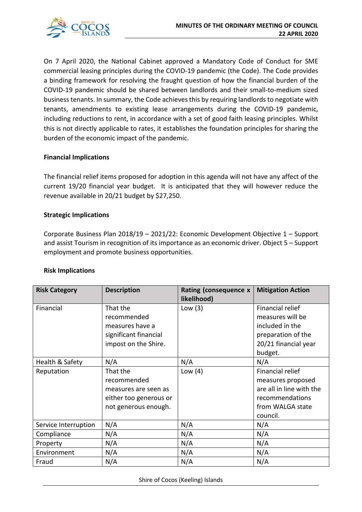

On 7 April 2020, the National Cabinet approved a Mandatory Code of Conduct for SME commercial leasing principles during the COVID-19 pandemic (the Code). The Code provides a binding framework for resolving the fraught question of how the financial burden of the COVID-19 pandemic should be shared between landlords and their small-to-medium sized business tenants. In summary, the Code achieves this by requiring landlords to negotiate with tenants, amendments to existing lease arrangements during the COVID-19 pandemic, including reductions to rent, in accordance with a set of good faith leasing principles. Whilst this is not directly applicable to rates, it establishes the foundation principles for sharing the burden of the economic impact of the pandemic.

## **Financial Implications**

The financial relief items proposed for adoption in this agenda will not have any affect of the current 19/20 financial year budget. It is anticipated that they will however reduce the revenue available in 20/21 budget by \$27,250.

## **Strategic Implications**

Corporate Business Plan 2018/19 – 2021/22: Economic Development Objective 1 – Support and assist Tourism in recognition of its importance as an economic driver. Object 5 – Support employment and promote business opportunities.

## **Risk Implications**

| <b>Risk Category</b> | <b>Description</b>     | <b>Rating (consequence x</b><br>likelihood) | <b>Mitigation Action</b> |
|----------------------|------------------------|---------------------------------------------|--------------------------|
| Financial            | That the               | Low $(3)$                                   | Financial relief         |
|                      | recommended            |                                             | measures will be         |
|                      | measures have a        |                                             | included in the          |
|                      | significant financial  |                                             | preparation of the       |
|                      | impost on the Shire.   |                                             | 20/21 financial year     |
|                      |                        |                                             | budget.                  |
| Health & Safety      | N/A                    | N/A                                         | N/A                      |
| Reputation           | That the               | Low $(4)$                                   | Financial relief         |
|                      | recommended            |                                             | measures proposed        |
|                      | measures are seen as   |                                             | are all in line with the |
|                      | either too generous or |                                             | recommendations          |
|                      | not generous enough.   |                                             | from WALGA state         |
|                      |                        |                                             | council.                 |
| Service Interruption | N/A                    | N/A                                         | N/A                      |
| Compliance           | N/A                    | N/A                                         | N/A                      |
| Property             | N/A                    | N/A                                         | N/A                      |
| Environment          | N/A                    | N/A                                         | N/A                      |
| Fraud                | N/A                    | N/A                                         | N/A                      |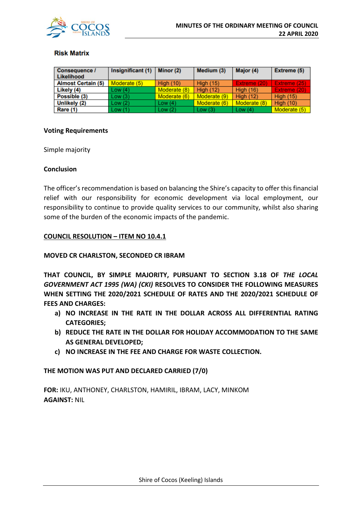

## **Risk Matrix**

| Consequence /<br>Likelihood | Insignificant (1) | Minor (2)    | Medium (3)       | Major (4)        | Extreme (5)      |
|-----------------------------|-------------------|--------------|------------------|------------------|------------------|
| <b>Almost Certain (5)</b>   | Moderate (5)      | High $(10)$  | <b>High (15)</b> | Extreme (20)     | Extreme (25)     |
| Likely (4)                  | Low(4)            | Moderate (8) | <b>High (12)</b> | <b>High (16)</b> | Extreme (20)     |
| Possible (3)                | Low(3)            | Moderate (6) | Moderate (9)     | <b>High (12)</b> | <b>High (15)</b> |
| Unlikely (2)                | Low(2)            | Low $(4)$    | Moderate (6)     | Moderate (8)     | High $(10)$      |
| Rare (1)                    | Low(1)            | Low(2)       | Low $(3)$        | Low $(4)$        | Moderate (5)     |

#### **Voting Requirements**

Simple majority

#### **Conclusion**

The officer's recommendation is based on balancing the Shire's capacity to offer this financial relief with our responsibility for economic development via local employment, our responsibility to continue to provide quality services to our community, whilst also sharing some of the burden of the economic impacts of the pandemic.

## **COUNCIL RESOLUTION – ITEM NO 10.4.1**

#### **MOVED CR CHARLSTON, SECONDED CR IBRAM**

**THAT COUNCIL, BY SIMPLE MAJORITY, PURSUANT TO SECTION 3.18 OF** *THE LOCAL GOVERNMENT ACT 1995 (WA) (CKI)* **RESOLVES TO CONSIDER THE FOLLOWING MEASURES WHEN SETTING THE 2020/2021 SCHEDULE OF RATES AND THE 2020/2021 SCHEDULE OF FEES AND CHARGES:**

- **a) NO INCREASE IN THE RATE IN THE DOLLAR ACROSS ALL DIFFERENTIAL RATING CATEGORIES;**
- **b) REDUCE THE RATE IN THE DOLLAR FOR HOLIDAY ACCOMMODATION TO THE SAME AS GENERAL DEVELOPED;**
- **c) NO INCREASE IN THE FEE AND CHARGE FOR WASTE COLLECTION.**

**THE MOTION WAS PUT AND DECLARED CARRIED (7/0)**

**FOR:** IKU, ANTHONEY, CHARLSTON, HAMIRIL, IBRAM, LACY, MINKOM **AGAINST:** NIL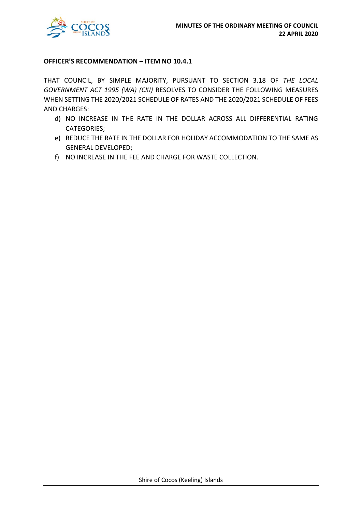

## **OFFICER'S RECOMMENDATION – ITEM NO 10.4.1**

THAT COUNCIL, BY SIMPLE MAJORITY, PURSUANT TO SECTION 3.18 OF *THE LOCAL GOVERNMENT ACT 1995 (WA) (CKI)* RESOLVES TO CONSIDER THE FOLLOWING MEASURES WHEN SETTING THE 2020/2021 SCHEDULE OF RATES AND THE 2020/2021 SCHEDULE OF FEES AND CHARGES:

- d) NO INCREASE IN THE RATE IN THE DOLLAR ACROSS ALL DIFFERENTIAL RATING CATEGORIES;
- e) REDUCE THE RATE IN THE DOLLAR FOR HOLIDAY ACCOMMODATION TO THE SAME AS GENERAL DEVELOPED;
- f) NO INCREASE IN THE FEE AND CHARGE FOR WASTE COLLECTION.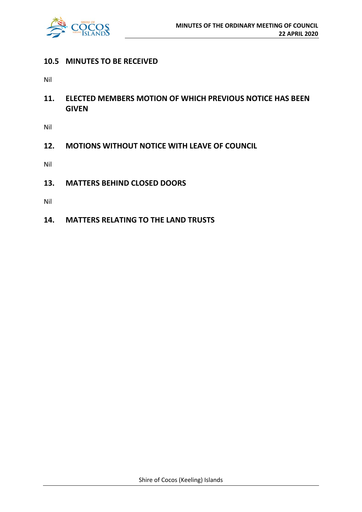

## **10.5 MINUTES TO BE RECEIVED**

Nil

**11. ELECTED MEMBERS MOTION OF WHICH PREVIOUS NOTICE HAS BEEN GIVEN**

Nil

**12. MOTIONS WITHOUT NOTICE WITH LEAVE OF COUNCIL**

Nil

**13. MATTERS BEHIND CLOSED DOORS**

Nil

**14. MATTERS RELATING TO THE LAND TRUSTS**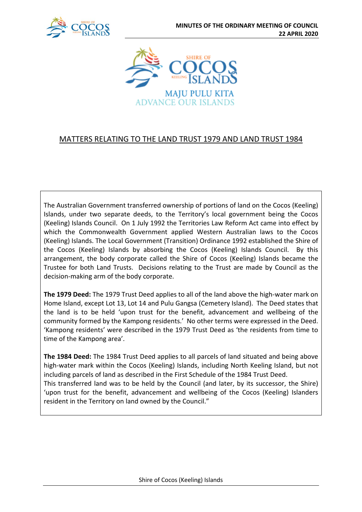



## MATTERS RELATING TO THE LAND TRUST 1979 AND LAND TRUST 1984

The Australian Government transferred ownership of portions of land on the Cocos (Keeling) Islands, under two separate deeds, to the Territory's local government being the Cocos (Keeling) Islands Council. On 1 July 1992 the Territories Law Reform Act came into effect by which the Commonwealth Government applied Western Australian laws to the Cocos (Keeling) Islands. The Local Government (Transition) Ordinance 1992 established the Shire of the Cocos (Keeling) Islands by absorbing the Cocos (Keeling) Islands Council. By this arrangement, the body corporate called the Shire of Cocos (Keeling) Islands became the Trustee for both Land Trusts. Decisions relating to the Trust are made by Council as the decision-making arm of the body corporate.

**The 1979 Deed:** The 1979 Trust Deed applies to all of the land above the high-water mark on Home Island, except Lot 13, Lot 14 and Pulu Gangsa (Cemetery Island). The Deed states that the land is to be held 'upon trust for the benefit, advancement and wellbeing of the community formed by the Kampong residents.' No other terms were expressed in the Deed. 'Kampong residents' were described in the 1979 Trust Deed as 'the residents from time to time of the Kampong area'.

**The 1984 Deed:** The 1984 Trust Deed applies to all parcels of land situated and being above high-water mark within the Cocos (Keeling) Islands, including North Keeling Island, but not including parcels of land as described in the First Schedule of the 1984 Trust Deed. This transferred land was to be held by the Council (and later, by its successor, the Shire) 'upon trust for the benefit, advancement and wellbeing of the Cocos (Keeling) Islanders resident in the Territory on land owned by the Council."